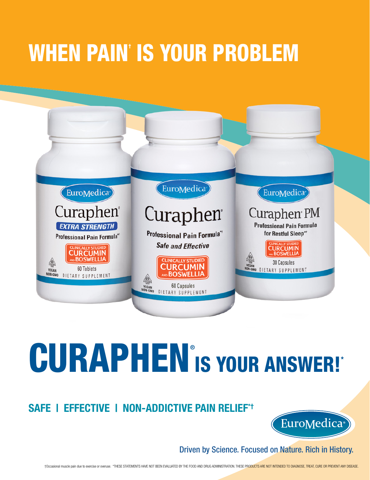## WHEN PAIN† IS YOUR PROBLEM



# CURAPHEN<sup>®</sup> IS YOUR ANSWER!\*

### **SAFE | EFFECTIVE | NON-ADDICTIVE PAIN RELIEF\*†**



Driven by Science. Focused on Nature. Rich in History.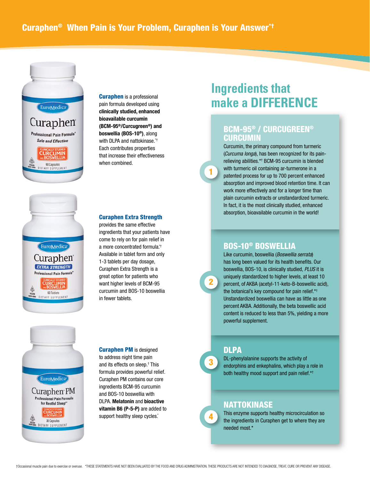

EuroMedica

Curaphen **EXTRA STRENGTH** Professional Pain Formula<sup>\*</sup> CURCUMIN 60 Tablets DIETARY SUPPLEMENT

Curaphen is a professional pain formula developed using **clinically studied, enhanced bioavailable curcumin (BCM-95®/Curcugreen®) and boswellia (BOS-10®)**, along with DLPA and nattokinase.<sup>\*\*</sup> Each contributes properties that increase their effectiveness when combined.

#### Curaphen Extra Strength

provides the same effective ingredients that your patients have come to rely on for pain relief in a more concentrated formula.\*† Available in tablet form and only 1-3 tablets per day dosage, Curaphen Extra Strength is a great option for patients who want higher levels of BCM-95 curcumin and BOS-10 boswellia in fewer tablets.

## (EuroMedica<sup>-</sup>) Curaphen<sup>PM</sup> **Professional Pain Formula** for Restful Sleep\*\* **CLIRCLIMIN** 30 Capsules DIETARY SUPPLEMENT

Curaphen PM is designed to address night time pain and its effects on sleep.† This formula provides powerful relief. Curaphen PM contains our core ingredients BCM-95 curcumin and BOS-10 boswellia with DLPA. **Melatonin** and **bioactive vitamin B6 (P-5-P)** are added to support healthy sleep cycles.\*

## **Ingredients that make a DIFFERENCE**

#### BCM-95® / CURCUGREEN® **CURCUMIN**

Curcumin, the primary compound from turmeric (*Curcuma longa*), has been recognized for its painrelieving abilities.\*† BCM-95 curcumin is blended with turmeric oil containing ar-turmerone in a patented process for up to 700 percent enhanced absorption and improved blood retention time. It can work more effectively and for a longer time than plain curcumin extracts or unstandardized turmeric. In fact, it is the most clinically studied, enhanced absorption, bioavailable curcumin in the world!

#### BOS-10® BOSWELLIA

Like curcumin, boswellia (*Boswellia serrata*) has long been valued for its health benefits. Our boswellia, BOS-10, is clinically studied, *PLUS* it is uniquely standardized to higher levels, at least 10 percent, of AKBA (acetyl-11-keto-B-boswellic acid), the botanical's key compound for pain relief.\*† Unstandardized boswellia can have as little as one percent AKBA. Additionally, the beta boswellic acid content is reduced to less than 5%, yielding a more powerful supplement.

#### DLPA

3

2

1

4

DL-phenylalanine supports the activity of endorphins and enkephalins, which play a role in both healthy mood support and pain relief.\*†

#### NATTOKINASE

This enzyme supports healthy microcirculation so the ingredients in Curaphen get to where they are needed most.\*

†Occasional muscle pain due to exercise or overuse. \*THESE STATEMENTS HAVE NOT BEEN EVALUATED BY THE FOOD AND DRUG ADMINISTRATION. THESE PRODUCTS ARE NOT INTENDED TO DIAGNOSE, TREAT, CURE OR PREVENT ANY DISEASE.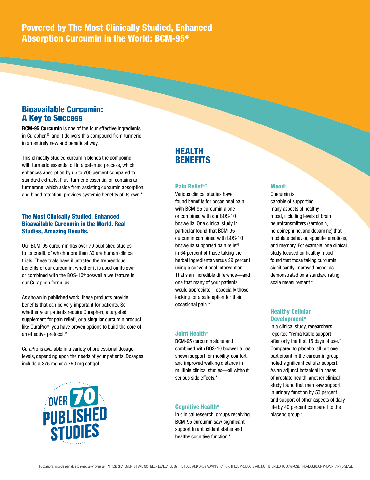Powered by The Most Clinically Studied, Enhanced Absorption Curcumin in the World: BCM-95®

#### Bioavailable Curcumin: A Key to Success

**BCM-95 Curcumin** is one of the four effective ingredients in Curaphen®, and it delivers this compound from turmeric in an entirely new and beneficial way.

This clinically studied curcumin blends the compound with turmeric essential oil in a patented process, which enhances absorption by up to 700 percent compared to standard extracts. Plus, turmeric essential oil contains arturmerone, which aside from assisting curcumin absorption and blood retention, provides systemic benefits of its own.\*

#### The Most Clinically Studied, Enhanced Bioavailable Curcumin in the World. Real Studies, Amazing Results.

Our BCM-95 curcumin has over 70 published studies to its credit, of which more than 30 are human clinical trials. These trials have illustrated the tremendous benefits of our curcumin, whether it is used on its own or combined with the BOS-10® boswellia we feature in our Curaphen formulas.

As shown in published work, these products provide benefits that can be very important for patients. So whether your patients require Curaphen, a targeted supplement for pain relief† , or a singular curcumin product like CuraPro®, you have proven options to build the core of an effective protocol.\*

CuraPro is available in a variety of professional dosage levels, depending upon the needs of your patients. Dosages include a 375 mg or a 750 mg softgel.



#### HEALTH **BENEFITS**

#### Pain Relief\*†

Various clinical studies have found benefits for occasional pain with BCM-95 curcumin alone or combined with our BOS-10 boswellia. One clinical study in particular found that BCM-95 curcumin combined with BOS-10 boswellia supported pain relief† in 64 percent of those taking the herbal ingredients versus 29 percent using a conventional intervention. That's an incredible difference—and one that many of your patients would appreciate—especially those looking for a safe option for their occasional pain.\*†

#### Joint Health\*

BCM-95 curcumin alone and combined with BOS-10 boswellia has shown support for mobility, comfort, and improved walking distance in multiple clinical studies—all without serious side effects.\*

#### Cognitive Health\*

In clinical research, groups receiving BCM-95 curcumin saw significant support in antioxidant status and healthy cognitive function.\*

#### Mood\*

Curcumin is capable of supporting many aspects of healthy mood, including levels of brain neurotransmitters (serotonin, norepinephrine, and dopamine) that modulate behavior, appetite, emotions, and memory. For example, one clinical study focused on healthy mood found that those taking curcumin significantly improved mood, as demonstrated on a standard rating scale measurement.\*

#### Healthy Cellular Development\*

In a clinical study, researchers reported "remarkable support after only the first 15 days of use." Compared to placebo, all but one participant in the curcumin group noted significant cellular support. As an adjunct botanical in cases of prostate health, another clinical study found that men saw support in urinary function by 50 percent and support of other aspects of daily life by 40 percent compared to the placebo group.\*